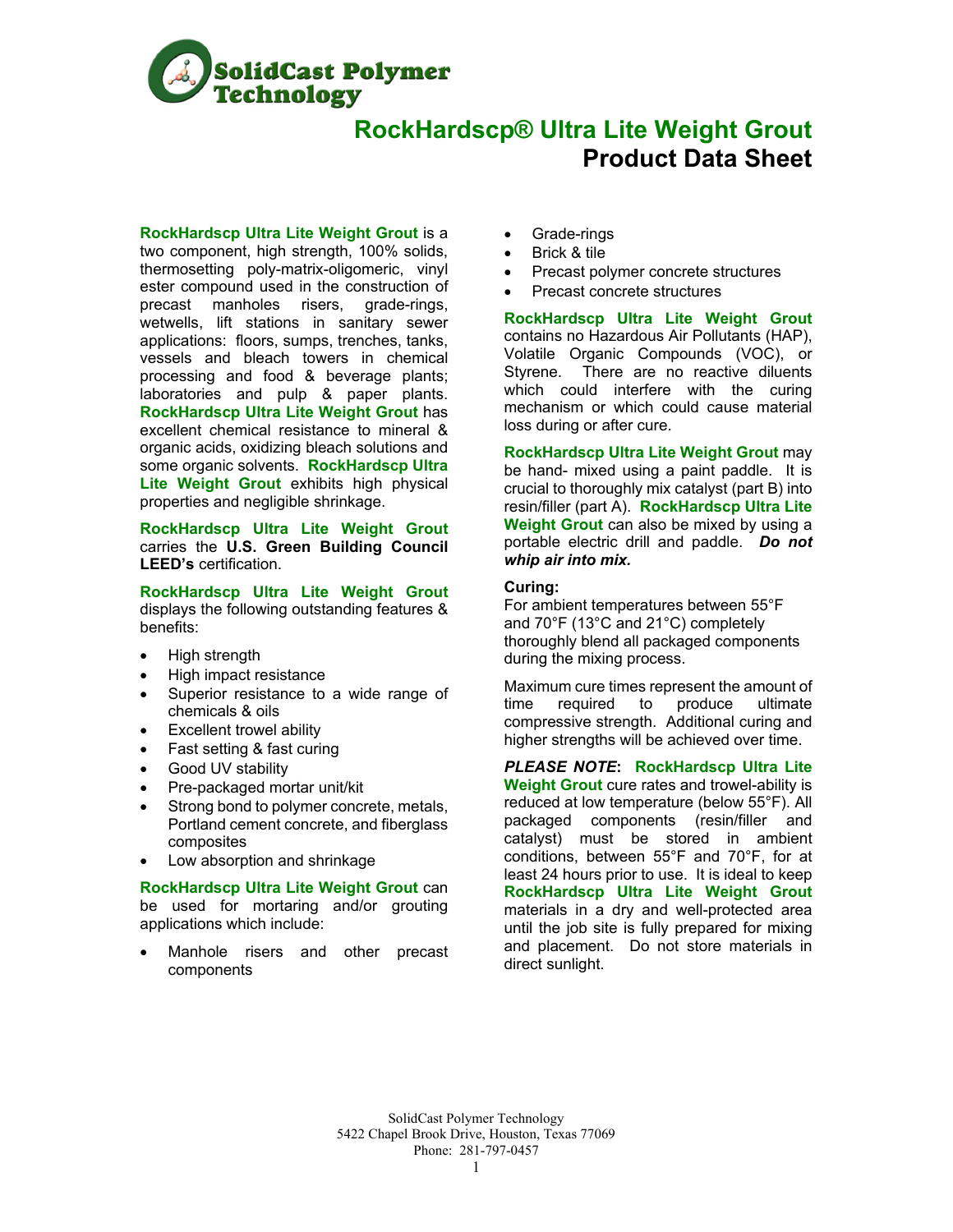

# **RockHardscp® Ultra Lite Weight Grout Product Data Sheet**

**RockHardscp Ultra Lite Weight Grout** is a

two component, high strength, 100% solids, thermosetting poly-matrix-oligomeric, vinyl ester compound used in the construction of precast manholes risers, grade-rings, wetwells, lift stations in sanitary sewer applications: floors, sumps, trenches, tanks, vessels and bleach towers in chemical processing and food & beverage plants; laboratories and pulp & paper plants. **RockHardscp Ultra Lite Weight Grout** has excellent chemical resistance to mineral & organic acids, oxidizing bleach solutions and some organic solvents. **RockHardscp Ultra Lite Weight Grout** exhibits high physical properties and negligible shrinkage.

**RockHardscp Ultra Lite Weight Grout** carries the **U.S. Green Building Council LEED's** certification.

**RockHardscp Ultra Lite Weight Grout** displays the following outstanding features & benefits:

- High strength
- High impact resistance
- Superior resistance to a wide range of chemicals & oils
- Excellent trowel ability
- Fast setting & fast curing
- Good UV stability
- Pre-packaged mortar unit/kit
- Strong bond to polymer concrete, metals, Portland cement concrete, and fiberglass composites
- Low absorption and shrinkage

**RockHardscp Ultra Lite Weight Grout** can be used for mortaring and/or grouting applications which include:

 Manhole risers and other precast components

- Grade-rings
- Brick & tile
- Precast polymer concrete structures
- Precast concrete structures

**RockHardscp Ultra Lite Weight Grout** contains no Hazardous Air Pollutants (HAP), Volatile Organic Compounds (VOC), or Styrene. There are no reactive diluents which could interfere with the curing mechanism or which could cause material loss during or after cure.

**RockHardscp Ultra Lite Weight Grout** may be hand- mixed using a paint paddle. It is crucial to thoroughly mix catalyst (part B) into resin/filler (part A). **RockHardscp Ultra Lite Weight Grout** can also be mixed by using a portable electric drill and paddle. *Do not whip air into mix.* 

## **Curing:**

For ambient temperatures between 55°F and 70°F (13°C and 21°C) completely thoroughly blend all packaged components during the mixing process.

Maximum cure times represent the amount of time required to produce ultimate compressive strength. Additional curing and higher strengths will be achieved over time.

*PLEASE NOTE***: RockHardscp Ultra Lite Weight Grout** cure rates and trowel-ability is reduced at low temperature (below 55°F). All packaged components (resin/filler and catalyst) must be stored in ambient conditions, between 55°F and 70°F, for at least 24 hours prior to use. It is ideal to keep **RockHardscp Ultra Lite Weight Grout** materials in a dry and well-protected area until the job site is fully prepared for mixing and placement. Do not store materials in direct sunlight.